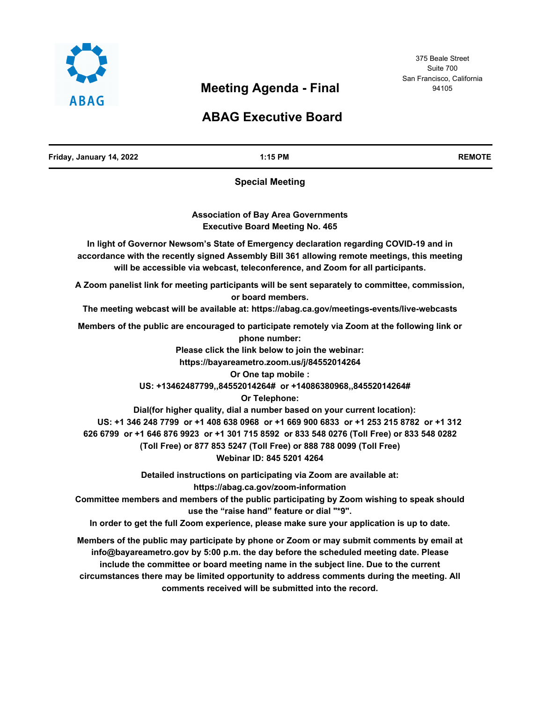

# **Meeting Agenda - Final**

# **ABAG Executive Board**

| Friday, January 14, 2022 | 1:15 PM                                                                                                                                                                                                                                                                                                                                                                                                                                                                                                                                                                                                                                                                                                                                                                                         | <b>REMOTE</b> |
|--------------------------|-------------------------------------------------------------------------------------------------------------------------------------------------------------------------------------------------------------------------------------------------------------------------------------------------------------------------------------------------------------------------------------------------------------------------------------------------------------------------------------------------------------------------------------------------------------------------------------------------------------------------------------------------------------------------------------------------------------------------------------------------------------------------------------------------|---------------|
|                          | <b>Special Meeting</b>                                                                                                                                                                                                                                                                                                                                                                                                                                                                                                                                                                                                                                                                                                                                                                          |               |
|                          | <b>Association of Bay Area Governments</b><br><b>Executive Board Meeting No. 465</b>                                                                                                                                                                                                                                                                                                                                                                                                                                                                                                                                                                                                                                                                                                            |               |
|                          | In light of Governor Newsom's State of Emergency declaration regarding COVID-19 and in<br>accordance with the recently signed Assembly Bill 361 allowing remote meetings, this meeting<br>will be accessible via webcast, teleconference, and Zoom for all participants.                                                                                                                                                                                                                                                                                                                                                                                                                                                                                                                        |               |
|                          | A Zoom panelist link for meeting participants will be sent separately to committee, commission,<br>or board members.                                                                                                                                                                                                                                                                                                                                                                                                                                                                                                                                                                                                                                                                            |               |
|                          | The meeting webcast will be available at: https://abag.ca.gov/meetings-events/live-webcasts<br>Members of the public are encouraged to participate remotely via Zoom at the following link or<br>phone number:<br>Please click the link below to join the webinar:<br>https://bayareametro.zoom.us/j/84552014264<br>Or One tap mobile :<br>US: +13462487799,,84552014264# or +14086380968,,84552014264#<br>Or Telephone:<br>Dial(for higher quality, dial a number based on your current location):<br>US: +1 346 248 7799 or +1 408 638 0968 or +1 669 900 6833 or +1 253 215 8782 or +1 312<br>626 6799 or +1 646 876 9923 or +1 301 715 8592 or 833 548 0276 (Toll Free) or 833 548 0282<br>(Toll Free) or 877 853 5247 (Toll Free) or 888 788 0099 (Toll Free)<br>Webinar ID: 845 5201 4264 |               |
|                          | Detailed instructions on participating via Zoom are available at:<br>https://abag.ca.gov/zoom-information<br>Committee members and members of the public participating by Zoom wishing to speak should<br>use the "raise hand" feature or dial "*9".<br>In order to get the full Zoom experience, please make sure your application is up to date.                                                                                                                                                                                                                                                                                                                                                                                                                                              |               |
|                          | Members of the public may participate by phone or Zoom or may submit comments by email at<br>info@bayareametro.gov by 5:00 p.m. the day before the scheduled meeting date. Please<br>include the committee or board meeting name in the subject line. Due to the current<br>circumstances there may be limited opportunity to address comments during the meeting. All<br>comments received will be submitted into the record.                                                                                                                                                                                                                                                                                                                                                                  |               |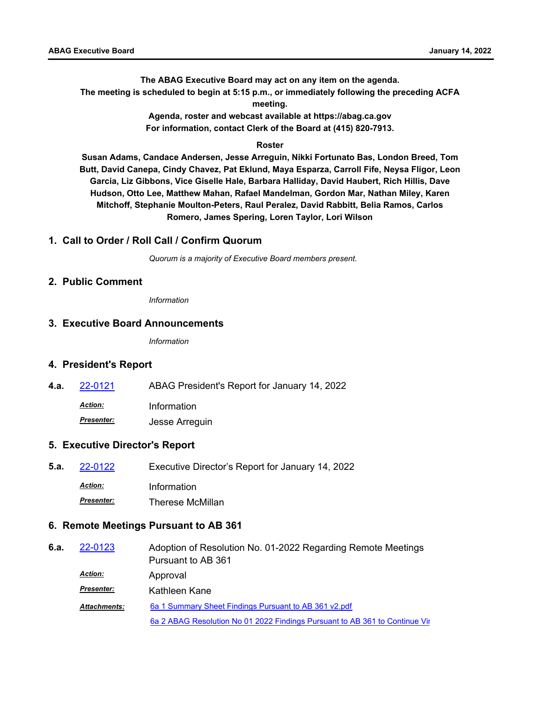**The ABAG Executive Board may act on any item on the agenda. The meeting is scheduled to begin at 5:15 p.m., or immediately following the preceding ACFA meeting.**

> **Agenda, roster and webcast available at https://abag.ca.gov For information, contact Clerk of the Board at (415) 820-7913.**

#### **Roster**

**Susan Adams, Candace Andersen, Jesse Arreguin, Nikki Fortunato Bas, London Breed, Tom Butt, David Canepa, Cindy Chavez, Pat Eklund, Maya Esparza, Carroll Fife, Neysa Fligor, Leon Garcia, Liz Gibbons, Vice Giselle Hale, Barbara Halliday, David Haubert, Rich Hillis, Dave Hudson, Otto Lee, Matthew Mahan, Rafael Mandelman, Gordon Mar, Nathan Miley, Karen Mitchoff, Stephanie Moulton-Peters, Raul Peralez, David Rabbitt, Belia Ramos, Carlos Romero, James Spering, Loren Taylor, Lori Wilson**

#### **1. Call to Order / Roll Call / Confirm Quorum**

*Quorum is a majority of Executive Board members present.*

#### **2. Public Comment**

*Information*

#### **3. Executive Board Announcements**

*Information*

#### **4. President's Report**

**4.a.** [22-0121](http://mtc.legistar.com/gateway.aspx?m=l&id=/matter.aspx?key=23380) ABAG President's Report for January 14, 2022

*Action:* Information

*Presenter:* Jesse Arreguin

#### **5. Executive Director's Report**

**5.a.** [22-0122](http://mtc.legistar.com/gateway.aspx?m=l&id=/matter.aspx?key=23381) Executive Director's Report for January 14, 2022 *Action:* Information *Presenter:* Therese McMillan

## **6. Remote Meetings Pursuant to AB 361**

| 6.a. | 22-0123             | Adoption of Resolution No. 01-2022 Regarding Remote Meetings                |
|------|---------------------|-----------------------------------------------------------------------------|
|      |                     | Pursuant to AB 361                                                          |
|      | <u>Action:</u>      | Approval                                                                    |
|      | <b>Presenter:</b>   | Kathleen Kane                                                               |
|      | <b>Attachments:</b> | 6a 1 Summary Sheet Findings Pursuant to AB 361 v2.pdf                       |
|      |                     | 6a 2 ABAG Resolution No 01 2022 Findings Pursuant to AB 361 to Continue Vir |